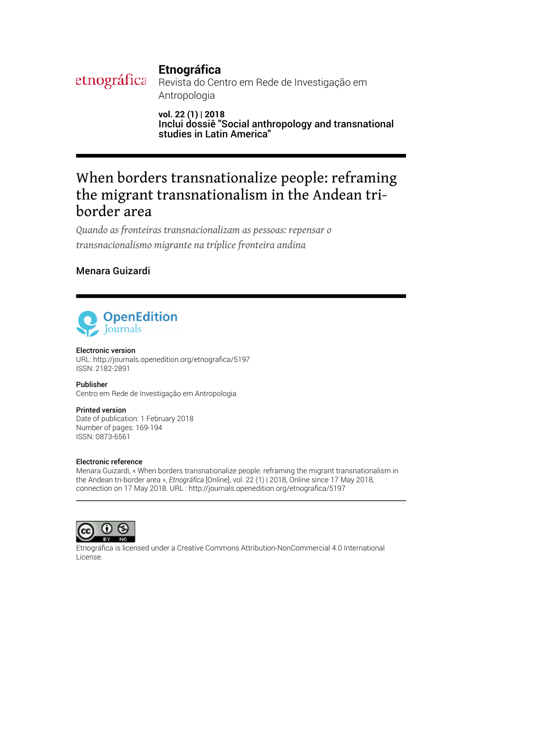# **Etnográfica**

etnográfica Revista do Centro em Rede de Investigação em Antropologia

> **vol. 22 (1) | 2018** Inclui dossiê "Social anthropology and transnational studies in Latin America"

# When borders transnationalize people: reframing the migrant transnationalism in the Andean triborder area

*Quando as fronteiras transnacionalizam as pessoas: repensar o transnacionalismo migrante na tríplice fronteira andina*

# Menara Guizardi



#### Electronic version

URL: [http://journals.openedition.org/etnogra](http://journals.openedition.org/etnografica/5197)fica/5197 ISSN: 2182-2891

Publisher Centro em Rede de Investigação em Antropologia

Printed version

Date of publication: 1 February 2018 Number of pages: 169-194 ISSN: 0873-6561

### Electronic reference

Menara Guizardi, « When borders transnationalize people: reframing the migrant transnationalism in the Andean tri-border area », *Etnográfica* [Online], vol. 22 (1) | 2018, Online since 17 May 2018, connection on 17 May 2018. URL : http://journals.openedition.org/etnografica/5197



Etnográfica is licensed under a [Creative Commons Attribution-NonCommercial 4.0 International](http://creativecommons.org/licenses/by-nc/4.0/) [License.](http://creativecommons.org/licenses/by-nc/4.0/)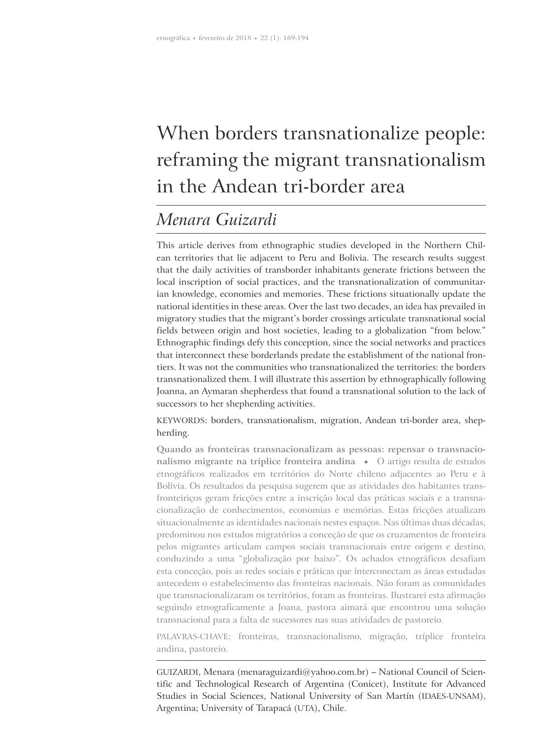# When borders transnationalize people: reframing the migrant transnationalism in the Andean tri-border area

# *Menara Guizardi*

This article derives from ethnographic studies developed in the Northern Chilean territories that lie adjacent to Peru and Bolivia. The research results suggest that the daily activities of transborder inhabitants generate frictions between the local inscription of social practices, and the transnationalization of communitarian knowledge, economies and memories. These frictions situationally update the national identities in these areas. Over the last two decades, an idea has prevailed in migratory studies that the migrant's border crossings articulate transnational social fields between origin and host societies, leading to a globalization "from below." Ethnographic findings defy this conception, since the social networks and practices that interconnect these borderlands predate the establishment of the national frontiers. It was not the communities who transnationalized the territories: the borders transnationalized them. I will illustrate this assertion by ethnographically following Joanna, an Aymaran shepherdess that found a transnational solution to the lack of successors to her shepherding activities.

KEYWORDS: borders, transnationalism, migration, Andean tri-border area, shepherding.

**Quando as fronteiras transnacionalizam as pessoas: repensar o transnacionalismo migrante na tríplice fronteira andina**  $\bullet$  O artigo resulta de estudos etnográficos realizados em territórios do Norte chileno adjacentes ao Peru e à Bolívia. Os resultados da pesquisa sugerem que as atividades dos habitantes transfronteiriços geram fricções entre a inscrição local das práticas sociais e a transnacionalização de conhecimentos, economias e memórias. Estas fricções atualizam situacionalmente as identidades nacionais nestes espaços. Nas últimas duas décadas, predominou nos estudos migratórios a conceção de que os cruzamentos de fronteira pelos migrantes articulam campos sociais transnacionais entre origem e destino, conduzindo a uma "globalização por baixo". Os achados etnográficos desafiam esta conceção, pois as redes sociais e práticas que interconectam as áreas estudadas antecedem o estabelecimento das fronteiras nacionais. Não foram as comunidades que transnacionalizaram os territórios, foram as fronteiras. Ilustrarei esta afirmação seguindo etnograficamente a Joana, pastora aimará que encontrou uma solução transnacional para a falta de sucessores nas suas atividades de pastoreio.

PALAVRAS-CHAVE: fronteiras, transnacionalismo, migração, tríplice fronteira andina, pastoreio.

GUIZARDI, Menara (menaraguizardi@yahoo.com.br) – National Council of Scientific and Technological Research of Argentina (Conicet), Institute for Advanced Studies in Social Sciences, National University of San Martín (IDAES-UNSAM), Argentina; University of Tarapacá (UTA), Chile.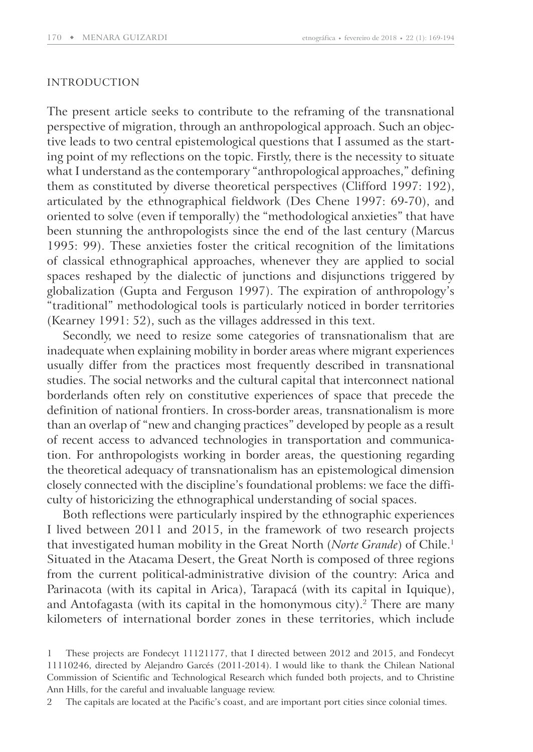#### INTRODUCTION

The present article seeks to contribute to the reframing of the transnational perspective of migration, through an anthropological approach. Such an objective leads to two central epistemological questions that I assumed as the starting point of my reflections on the topic. Firstly, there is the necessity to situate what I understand as the contemporary "anthropological approaches," defining them as constituted by diverse theoretical perspectives (Clifford 1997: 192), articulated by the ethnographical fieldwork (Des Chene 1997: 69-70), and oriented to solve (even if temporally) the "methodological anxieties" that have been stunning the anthropologists since the end of the last century ( Marcus 1995: 99). These anxieties foster the critical recognition of the limitations of classical ethnographical approaches, whenever they are applied to social spaces reshaped by the dialectic of junctions and disjunctions triggered by globalization (Gupta and Ferguson 1997). The expiration of anthropology's "traditional" methodological tools is particularly noticed in border territories (Kearney 1991: 52), such as the villages addressed in this text.

Secondly, we need to resize some categories of transnationalism that are inadequate when explaining mobility in border areas where migrant experiences usually differ from the practices most frequently described in transnational studies. The social networks and the cultural capital that interconnect national borderlands often rely on constitutive experiences of space that precede the definition of national frontiers. In cross-border areas, transnationalism is more than an overlap of "new and changing practices" developed by people as a result of recent access to advanced technologies in transportation and communication. For anthropologists working in border areas, the questioning regarding the theoretical adequacy of transnationalism has an epistemological dimension closely connected with the discipline's foundational problems: we face the difficulty of historicizing the ethnographical understanding of social spaces.

Both reflections were particularly inspired by the ethnographic experiences I lived between 2011 and 2015, in the framework of two research projects that investigated human mobility in the Great North (*Norte Grande*) of Chile.<sup>1</sup> Situated in the Atacama Desert, the Great North is composed of three regions from the current political-administrative division of the country: Arica and Parinacota (with its capital in Arica), Tarapacá (with its capital in Iquique), and Antofagasta (with its capital in the homonymous city).<sup>2</sup> There are many kilometers of international border zones in these territories, which include

2 The capitals are located at the Pacific's coast, and are important port cities since colonial times.

<sup>1</sup> These projects are Fondecyt 11121177, that I directed between 2012 and 2015, and Fondecyt 11110246, directed by Alejandro Garcés (2011-2014). I would like to thank the Chilean National Commission of Scientific and Technological Research which funded both projects, and to Christine Ann Hills, for the careful and invaluable language review.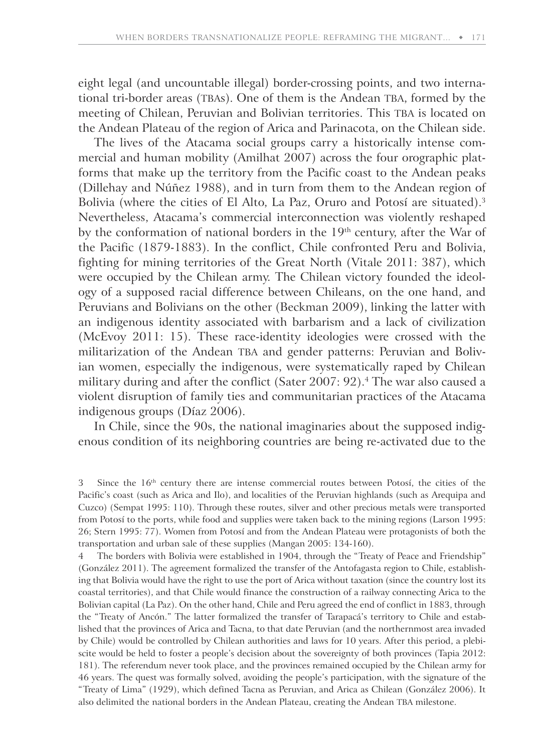eight legal (and uncountable illegal) border-crossing points, and two international tri-border areas (TBAs). One of them is the Andean TBA, formed by the meeting of Chilean, Peruvian and Bolivian territories. This TBA is located on the Andean Plateau of the region of Arica and Parinacota, on the Chilean side.

The lives of the Atacama social groups carry a historically intense commercial and human mobility (Amilhat 2007) across the four orographic platforms that make up the territory from the Pacific coast to the Andean peaks ( Dillehay and Núñez 1988), and in turn from them to the Andean region of Bolivia (where the cities of El Alto, La Paz, Oruro and Potosí are situated).<sup>3</sup> Nevertheless, Atacama's commercial interconnection was violently reshaped by the conformation of national borders in the 19<sup>th</sup> century, after the War of the Pacific (1879-1883). In the conflict, Chile confronted Peru and Bolivia, fighting for mining territories of the Great North (Vitale 2011: 387), which were occupied by the Chilean army. The Chilean victory founded the ideology of a supposed racial difference between Chileans, on the one hand, and Peruvians and Bolivians on the other (Beckman 2009), linking the latter with an indigenous identity associated with barbarism and a lack of civilization (McEvoy 2011: 15). These race-identity ideologies were crossed with the militarization of the Andean TBA and gender patterns: Peruvian and Bolivian women, especially the indigenous, were systematically raped by Chilean military during and after the conflict (Sater 2007: 92).<sup>4</sup> The war also caused a violent disruption of family ties and communitarian practices of the Atacama indigenous groups (Díaz 2006).

In Chile, since the 90s, the national imaginaries about the supposed indigenous condition of its neighboring countries are being re-activated due to the

The borders with Bolivia were established in 1904, through the "Treaty of Peace and Friendship" (González 2011). The agreement formalized the transfer of the Antofagasta region to Chile, establishing that Bolivia would have the right to use the port of Arica without taxation (since the country lost its coastal territories), and that Chile would finance the construction of a railway connecting Arica to the Bolivian capital (La Paz). On the other hand, Chile and Peru agreed the end of conflict in 1883, through the "Treaty of Ancón." The latter formalized the transfer of Tarapacá's territory to Chile and established that the provinces of Arica and Tacna, to that date Peruvian (and the northernmost area invaded by Chile) would be controlled by Chilean authorities and laws for 10 years. After this period, a plebiscite would be held to foster a people's decision about the sovereignty of both provinces (Tapia 2012: 181). The referendum never took place, and the provinces remained occupied by the Chilean army for 46 years. The quest was formally solved, avoiding the people's participation, with the signature of the "Treaty of Lima" (1929), which defined Tacna as Peruvian, and Arica as Chilean (González 2006). It also delimited the national borders in the Andean Plateau, creating the Andean TBA milestone.

<sup>3</sup> Since the 16<sup>th</sup> century there are intense commercial routes between Potosí, the cities of the Pacific's coast (such as Arica and Ilo), and localities of the Peruvian highlands (such as Arequipa and Cuzco) (Sempat 1995: 110). Through these routes, silver and other precious metals were transported from Potosí to the ports, while food and supplies were taken back to the mining regions (Larson 1995: 26; Stern 1995: 77). Women from Potosí and from the Andean Plateau were protagonists of both the transportation and urban sale of these supplies (Mangan 2005: 134-160).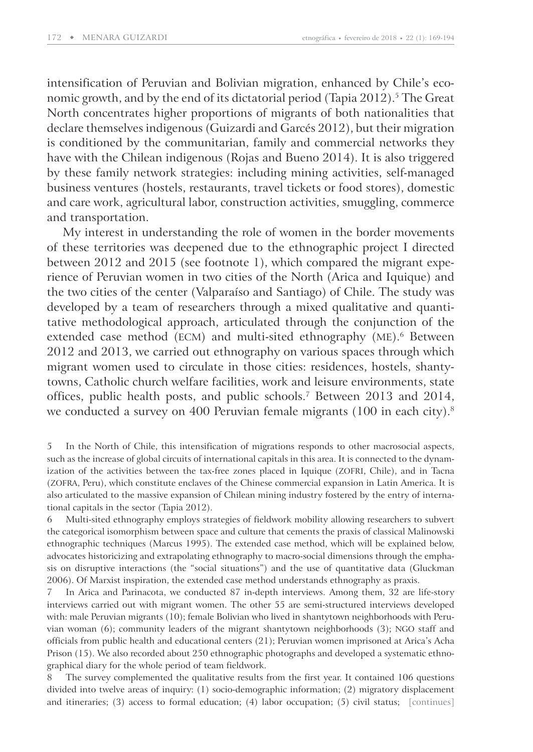intensification of Peruvian and Bolivian migration, enhanced by Chile's economic growth, and by the end of its dictatorial period (Tapia 2012).<sup>5</sup> The Great North concentrates higher proportions of migrants of both nationalities that declare themselves indigenous (Guizardi and Garcés 2012), but their migration is conditioned by the communitarian, family and commercial networks they have with the Chilean indigenous (Rojas and Bueno 2014). It is also triggered by these family network strategies: including mining activities, self-managed business ventures (hostels, restaurants, travel tickets or food stores), domestic and care work, agricultural labor, construction activities, smuggling, commerce and transportation.

My interest in understanding the role of women in the border movements of these territories was deepened due to the ethnographic project I directed between 2012 and 2015 (see footnote 1), which compared the migrant experience of Peruvian women in two cities of the North (Arica and Iquique) and the two cities of the center (Valparaíso and Santiago) of Chile. The study was developed by a team of researchers through a mixed qualitative and quantitative methodological approach, articulated through the conjunction of the extended case method (ECM) and multi-sited ethnography (ME).<sup>6</sup> Between 2012 and 2013, we carried out ethnography on various spaces through which migrant women used to circulate in those cities: residences, hostels, shantytowns, Catholic church welfare facilities, work and leisure environments, state offices, public health posts, and public schools.<sup>7</sup> Between 2013 and 2014, we conducted a survey on 400 Peruvian female migrants (100 in each city).<sup>8</sup>

8 The survey complemented the qualitative results from the first year. It contained 106 questions divided into twelve areas of inquiry: (1) socio-demographic information; (2) migratory displacement and itineraries; (3) access to formal education; (4) labor occupation; (5) civil status; [continues]

<sup>5</sup> In the North of Chile, this intensification of migrations responds to other macrosocial aspects, such as the increase of global circuits of international capitals in this area. It is connected to the dynamization of the activities between the tax-free zones placed in Iquique (ZOFRI, Chile), and in Tacna (ZOFRA, Peru), which constitute enclaves of the Chinese commercial expansion in Latin America. It is also articulated to the massive expansion of Chilean mining industry fostered by the entry of international capitals in the sector (Tapia 2012).

<sup>6</sup> Multi-sited ethnography employs strategies of fieldwork mobility allowing researchers to subvert the categorical isomorphism between space and culture that cements the praxis of classical Malinowski ethnographic techniques (Marcus 1995). The extended case method, which will be explained below, advocates historicizing and extrapolating ethnography to macro-social dimensions through the emphasis on disruptive interactions (the "social situations") and the use of quantitative data (Gluckman 2006). Of Marxist inspiration, the extended case method understands ethnography as praxis.

<sup>7</sup> In Arica and Parinacota, we conducted 87 in-depth interviews. Among them, 32 are life-story interviews carried out with migrant women. The other 55 are semi-structured interviews developed with: male Peruvian migrants (10); female Bolivian who lived in shantytown neighborhoods with Peruvian woman (6); community leaders of the migrant shantytown neighborhoods (3); NGO staff and officials from public health and educational centers (21); Peruvian women imprisoned at Arica's Acha Prison (15). We also recorded about 250 ethnographic photographs and developed a systematic ethnographical diary for the whole period of team fieldwork.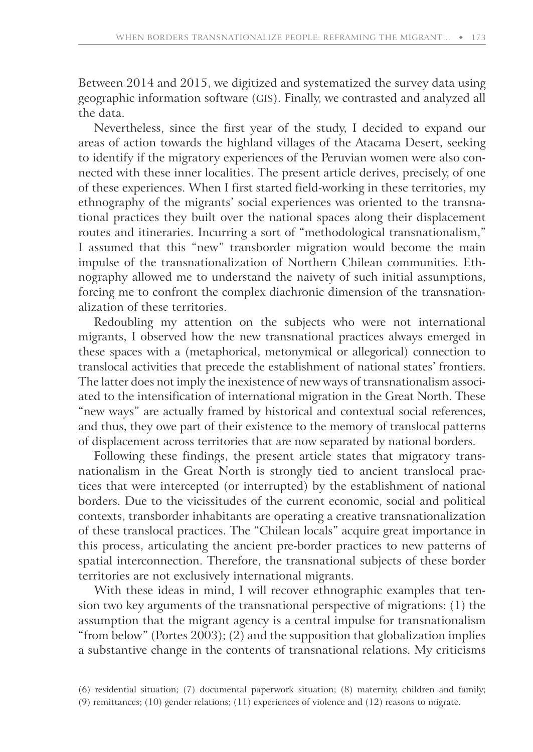Between 2014 and 2015, we digitized and systematized the survey data using geographic information software (GIS). Finally, we contrasted and analyzed all the data.

Nevertheless, since the first year of the study, I decided to expand our areas of action towards the highland villages of the Atacama Desert, seeking to identify if the migratory experiences of the Peruvian women were also connected with these inner localities. The present article derives, precisely, of one of these experiences. When I first started field-working in these territories, my ethnography of the migrants' social experiences was oriented to the transnational practices they built over the national spaces along their displacement routes and itineraries. Incurring a sort of "methodological transnationalism," I assumed that this "new" transborder migration would become the main impulse of the transnationalization of Northern Chilean communities. Ethnography allowed me to understand the naivety of such initial assumptions, forcing me to confront the complex diachronic dimension of the transnationalization of these territories.

Redoubling my attention on the subjects who were not international migrants, I observed how the new transnational practices always emerged in these spaces with a (metaphorical, metonymical or allegorical) connection to translocal activities that precede the establishment of national states' frontiers. The latter does not imply the inexistence of new ways of transnationalism associated to the intensification of international migration in the Great North. These "new ways" are actually framed by historical and contextual social references, and thus, they owe part of their existence to the memory of translocal patterns of displacement across territories that are now separated by national borders.

Following these findings, the present article states that migratory transnationalism in the Great North is strongly tied to ancient translocal practices that were intercepted (or interrupted) by the establishment of national borders. Due to the vicissitudes of the current economic, social and political contexts, transborder inhabitants are operating a creative transnationalization of these translocal practices. The "Chilean locals" acquire great importance in this process, articulating the ancient pre-border practices to new patterns of spatial interconnection. Therefore, the transnational subjects of these border territories are not exclusively international migrants.

With these ideas in mind, I will recover ethnographic examples that tension two key arguments of the transnational perspective of migrations: (1) the assumption that the migrant agency is a central impulse for transnationalism "from below" (Portes 2003); (2) and the supposition that globalization implies a substantive change in the contents of transnational relations. My criticisms

<sup>(6)</sup> residential situation; (7) documental paperwork situation; (8) maternity, children and family;

<sup>(9)</sup> remittances; (10) gender relations; (11) experiences of violence and (12) reasons to migrate.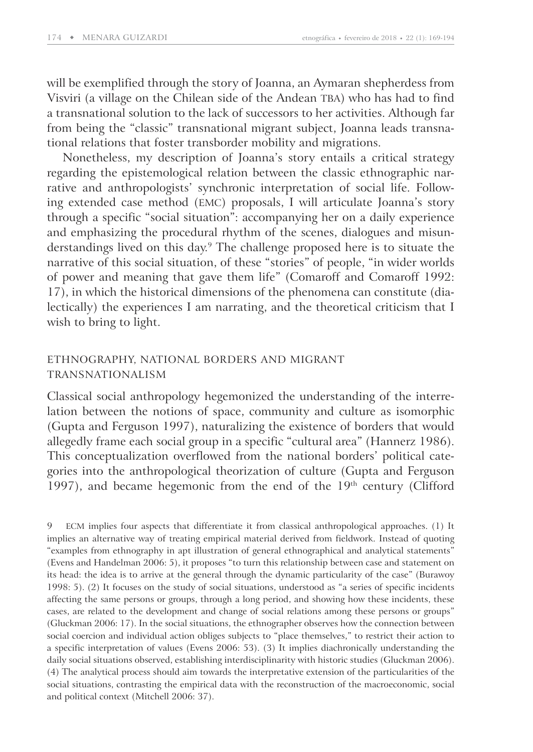will be exemplified through the story of Joanna, an Aymaran shepherdess from Visviri (a village on the Chilean side of the Andean TBA) who has had to find a transnational solution to the lack of successors to her activities. Although far from being the "classic" transnational migrant subject, Joanna leads transnational relations that foster transborder mobility and migrations.

Nonetheless, my description of Joanna's story entails a critical strategy regarding the epistemological relation between the classic ethnographic narrative and anthropologists' synchronic interpretation of social life. Following extended case method (EMC) proposals, I will articulate Joanna's story through a specific "social situation": accompanying her on a daily experience and emphasizing the procedural rhythm of the scenes, dialogues and misunderstandings lived on this day.<sup>9</sup> The challenge proposed here is to situate the narrative of this social situation, of these "stories" of people, "in wider worlds of power and meaning that gave them life" (Comaroff and Comaroff 1992: 17), in which the historical dimensions of the phenomena can constitute (dialectically) the experiences I am narrating, and the theoretical criticism that I wish to bring to light.

## ETHNOGRAPHY, NATIONAL BORDERS AND MIGRANT TRANSNATIONALISM

Classical social anthropology hegemonized the understanding of the interrelation between the notions of space, community and culture as isomorphic (Gupta and Ferguson 1997), naturalizing the existence of borders that would allegedly frame each social group in a specific "cultural area" (Hannerz 1986). This conceptualization overflowed from the national borders' political categories into the anthropological theorization of culture (Gupta and Ferguson 1997), and became hegemonic from the end of the 19th century (Clifford

9 ECM implies four aspects that differentiate it from classical anthropological approaches. (1) It implies an alternative way of treating empirical material derived from fieldwork. Instead of quoting "examples from ethnography in apt illustration of general ethnographical and analytical statements" (Evens and Handelman 2006: 5), it proposes "to turn this relationship between case and statement on its head: the idea is to arrive at the general through the dynamic particularity of the case" (Burawoy 1998: 5). (2) It focuses on the study of social situations, understood as "a series of specific incidents affecting the same persons or groups, through a long period, and showing how these incidents, these cases, are related to the development and change of social relations among these persons or groups" (Gluckman 2006: 17). In the social situations, the ethnographer observes how the connection between social coercion and individual action obliges subjects to "place themselves," to restrict their action to a specific interpretation of values (Evens 2006: 53). (3) It implies diachronically understanding the daily social situations observed, establishing interdisciplinarity with historic studies (Gluckman 2006). (4) The analytical process should aim towards the interpretative extension of the particularities of the social situations, contrasting the empirical data with the reconstruction of the macroeconomic, social and political context (Mitchell 2006: 37).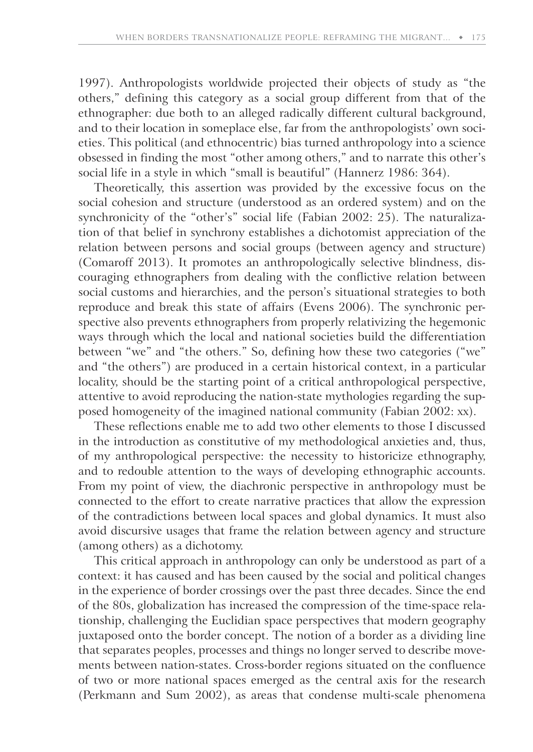1997). Anthropologists worldwide projected their objects of study as "the others," defining this category as a social group different from that of the ethnographer: due both to an alleged radically different cultural background, and to their location in someplace else, far from the anthropologists' own societies. This political (and ethnocentric) bias turned anthropology into a science obsessed in finding the most "other among others," and to narrate this other's social life in a style in which "small is beautiful" (Hannerz 1986: 364).

Theoretically, this assertion was provided by the excessive focus on the social cohesion and structure (understood as an ordered system) and on the synchronicity of the "other's" social life (Fabian 2002: 25). The naturalization of that belief in synchrony establishes a dichotomist appreciation of the relation between persons and social groups (between agency and structure) (Comaroff 2013). It promotes an anthropologically selective blindness, discouraging ethnographers from dealing with the conflictive relation between social customs and hierarchies, and the person's situational strategies to both reproduce and break this state of affairs (Evens 2006). The synchronic perspective also prevents ethnographers from properly relativizing the hegemonic ways through which the local and national societies build the differentiation between "we" and "the others." So, defining how these two categories ("we" and "the others") are produced in a certain historical context, in a particular locality, should be the starting point of a critical anthropological perspective, attentive to avoid reproducing the nation-state mythologies regarding the supposed homogeneity of the imagined national community (Fabian 2002: xx).

These reflections enable me to add two other elements to those I discussed in the introduction as constitutive of my methodological anxieties and, thus, of my anthropological perspective: the necessity to historicize ethnography, and to redouble attention to the ways of developing ethnographic accounts. From my point of view, the diachronic perspective in anthropology must be connected to the effort to create narrative practices that allow the expression of the contradictions between local spaces and global dynamics. It must also avoid discursive usages that frame the relation between agency and structure (among others) as a dichotomy.

This critical approach in anthropology can only be understood as part of a context: it has caused and has been caused by the social and political changes in the experience of border crossings over the past three decades. Since the end of the 80s, globalization has increased the compression of the time-space relationship, challenging the Euclidian space perspectives that modern geography juxtaposed onto the border concept. The notion of a border as a dividing line that separates peoples, processes and things no longer served to describe movements between nation-states. Cross-border regions situated on the confluence of two or more national spaces emerged as the central axis for the research (Perkmann and Sum 2002), as areas that condense multi-scale phenomena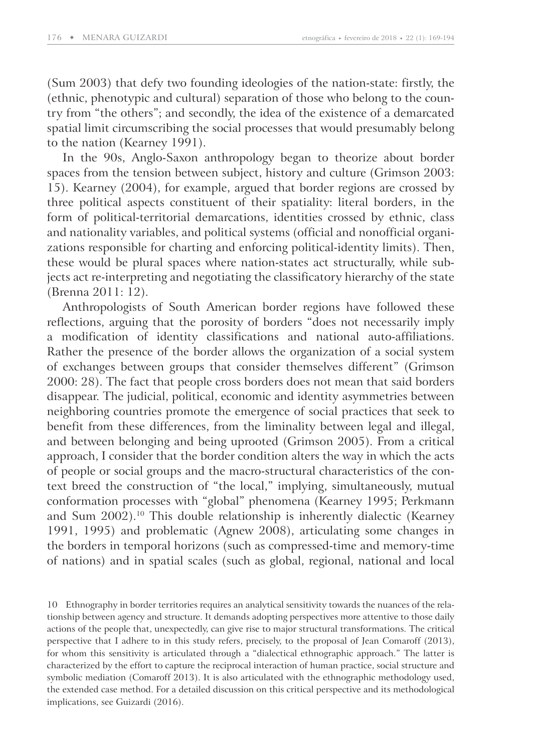(Sum 2003) that defy two founding ideologies of the nation-state: firstly, the (ethnic, phenotypic and cultural) separation of those who belong to the country from "the others"; and secondly, the idea of the existence of a demarcated spatial limit circumscribing the social processes that would presumably belong to the nation (Kearney 1991).

In the 90s, Anglo-Saxon anthropology began to theorize about border spaces from the tension between subject, history and culture (Grimson 2003: 15). Kearney (2004), for example, argued that border regions are crossed by three political aspects constituent of their spatiality: literal borders, in the form of political-territorial demarcations, identities crossed by ethnic, class and nationality variables, and political systems (official and nonofficial organizations responsible for charting and enforcing political-identity limits). Then, these would be plural spaces where nation-states act structurally, while subjects act re-interpreting and negotiating the classificatory hierarchy of the state (Brenna 2011: 12).

Anthropologists of South American border regions have followed these reflections, arguing that the porosity of borders "does not necessarily imply a modification of identity classifications and national auto-affiliations. Rather the presence of the border allows the organization of a social system of exchanges between groups that consider themselves different" (Grimson 2000: 28). The fact that people cross borders does not mean that said borders disappear. The judicial, political, economic and identity asymmetries between neighboring countries promote the emergence of social practices that seek to benefit from these differences, from the liminality between legal and illegal, and between belonging and being uprooted (Grimson 2005). From a critical approach, I consider that the border condition alters the way in which the acts of people or social groups and the macro-structural characteristics of the context breed the construction of "the local," implying, simultaneously, mutual conformation processes with "global" phenomena (Kearney 1995; Perkmann and Sum 2002).<sup>10</sup> This double relationship is inherently dialectic (Kearney 1991, 1995) and problematic (Agnew 2008), articulating some changes in the borders in temporal horizons (such as compressed-time and memory-time of nations) and in spatial scales (such as global, regional, national and local

10 Ethnography in border territories requires an analytical sensitivity towards the nuances of the relationship between agency and structure. It demands adopting perspectives more attentive to those daily actions of the people that, unexpectedly, can give rise to major structural transformations. The critical perspective that I adhere to in this study refers, precisely, to the proposal of Jean Comaroff (2013), for whom this sensitivity is articulated through a "dialectical ethnographic approach." The latter is characterized by the effort to capture the reciprocal interaction of human practice, social structure and symbolic mediation (Comaroff 2013). It is also articulated with the ethnographic methodology used, the extended case method. For a detailed discussion on this critical perspective and its methodological implications, see Guizardi (2016).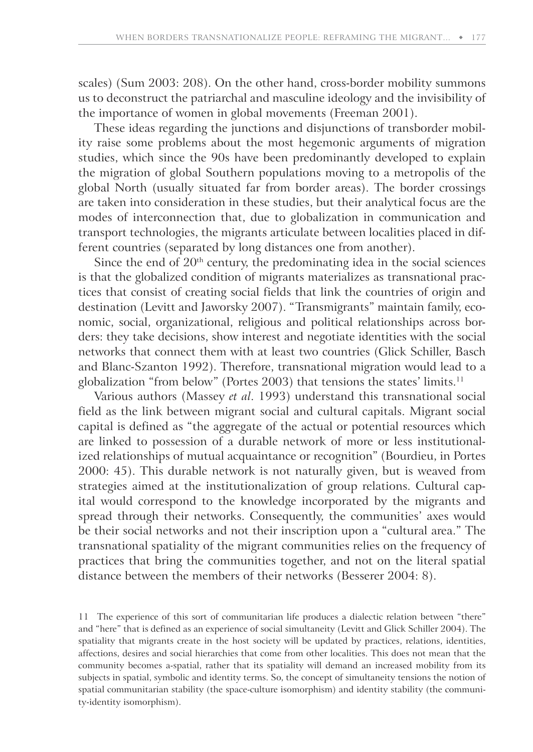scales) (Sum 2003: 208). On the other hand, cross-border mobility summons us to deconstruct the patriarchal and masculine ideology and the invisibility of the importance of women in global movements (Freeman 2001).

These ideas regarding the junctions and disjunctions of transborder mobility raise some problems about the most hegemonic arguments of migration studies, which since the 90s have been predominantly developed to explain the migration of global Southern populations moving to a metropolis of the global North (usually situated far from border areas). The border crossings are taken into consideration in these studies, but their analytical focus are the modes of interconnection that, due to globalization in communication and transport technologies, the migrants articulate between localities placed in different countries (separated by long distances one from another).

Since the end of  $20<sup>th</sup>$  century, the predominating idea in the social sciences is that the globalized condition of migrants materializes as transnational practices that consist of creating social fields that link the countries of origin and destination (Levitt and Jaworsky 2007). "Transmigrants" maintain family, economic, social, organizational, religious and political relationships across borders: they take decisions, show interest and negotiate identities with the social networks that connect them with at least two countries (Glick Schiller, Basch and Blanc-Szanton 1992). Therefore, transnational migration would lead to a globalization "from below" (Portes 2003) that tensions the states' limits.<sup>11</sup>

Various authors (Massey *et al*. 1993) understand this transnational social field as the link between migrant social and cultural capitals. Migrant social capital is defined as "the aggregate of the actual or potential resources which are linked to possession of a durable network of more or less institutionalized relationships of mutual acquaintance or recognition" (Bourdieu, in Portes 2000: 45). This durable network is not naturally given, but is weaved from strategies aimed at the institutionalization of group relations. Cultural capital would correspond to the knowledge incorporated by the migrants and spread through their networks. Consequently, the communities' axes would be their social networks and not their inscription upon a "cultural area." The transnational spatiality of the migrant communities relies on the frequency of practices that bring the communities together, and not on the literal spatial distance between the members of their networks (Besserer 2004: 8).

11 The experience of this sort of communitarian life produces a dialectic relation between "there" and "here" that is defined as an experience of social simultaneity (Levitt and Glick Schiller 2004). The spatiality that migrants create in the host society will be updated by practices, relations, identities, affections, desires and social hierarchies that come from other localities. This does not mean that the community becomes a-spatial, rather that its spatiality will demand an increased mobility from its subjects in spatial, symbolic and identity terms. So, the concept of simultaneity tensions the notion of spatial communitarian stability (the space-culture isomorphism) and identity stability (the community-identity isomorphism).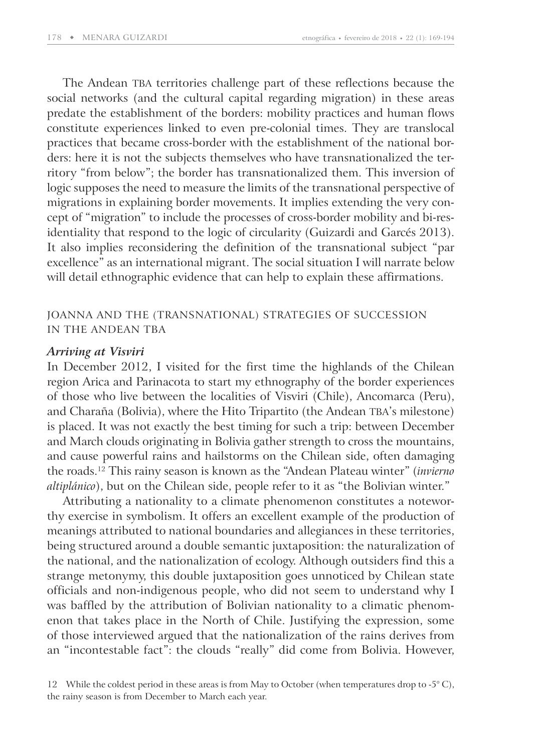The Andean TBA territories challenge part of these reflections because the social networks (and the cultural capital regarding migration) in these areas predate the establishment of the borders: mobility practices and human flows constitute experiences linked to even pre-colonial times. They are translocal practices that became cross-border with the establishment of the national borders: here it is not the subjects themselves who have transnationalized the territory "from below"; the border has transnationalized them. This inversion of logic supposes the need to measure the limits of the transnational perspective of migrations in explaining border movements. It implies extending the very concept of "migration" to include the processes of cross-border mobility and bi-residentiality that respond to the logic of circularity (Guizardi and Garcés 2013). It also implies reconsidering the definition of the transnational subject "par excellence" as an international migrant. The social situation I will narrate below will detail ethnographic evidence that can help to explain these affirmations.

# JOANNA AND THE (TRANSNATIONAL) STRATEGIES OF SUCCESSION IN THE ANDEAN TBA

#### *Arriving at Visviri*

In December 2012, I visited for the first time the highlands of the Chilean region Arica and Parinacota to start my ethnography of the border experiences of those who live between the localities of Visviri (Chile), Ancomarca (Peru), and Charaña (Bolivia), where the Hito Tripartito (the Andean TBA's milestone) is placed. It was not exactly the best timing for such a trip: between December and March clouds originating in Bolivia gather strength to cross the mountains, and cause powerful rains and hailstorms on the Chilean side, often damaging the roads.<sup>12</sup> This rainy season is known as the "Andean Plateau winter" (*invierno altiplánico*), but on the Chilean side, people refer to it as "the Bolivian winter."

Attributing a nationality to a climate phenomenon constitutes a noteworthy exercise in symbolism. It offers an excellent example of the production of meanings attributed to national boundaries and allegiances in these territories, being structured around a double semantic juxtaposition: the naturalization of the national, and the nationalization of ecology. Although outsiders find this a strange metonymy, this double juxtaposition goes unnoticed by Chilean state officials and non-indigenous people, who did not seem to understand why I was baffled by the attribution of Bolivian nationality to a climatic phenomenon that takes place in the North of Chile. Justifying the expression, some of those interviewed argued that the nationalization of the rains derives from an "incontestable fact": the clouds "really" did come from Bolivia. However,

<sup>12</sup> While the coldest period in these areas is from May to October (when temperatures drop to -5 $^{\circ}$  C), the rainy season is from December to March each year.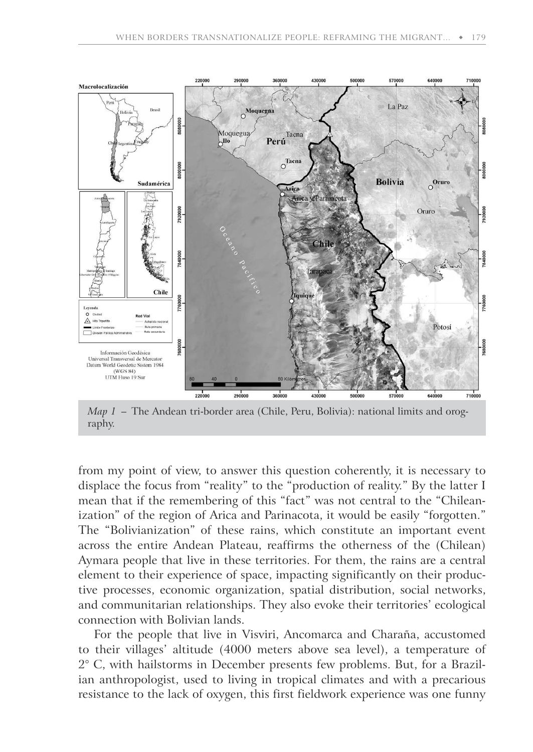

*Map 1* – The Andean tri-border area (Chile, Peru, Bolivia): national limits and orography.

from my point of view, to answer this question coherently, it is necessary to displace the focus from "reality" to the "production of reality." By the latter I mean that if the remembering of this "fact" was not central to the "Chileanization" of the region of Arica and Parinacota, it would be easily "forgotten." The "Bolivianization" of these rains, which constitute an important event across the entire Andean Plateau, reaffirms the otherness of the (Chilean) Aymara people that live in these territories. For them, the rains are a central element to their experience of space, impacting significantly on their productive processes, economic organization, spatial distribution, social networks, and communitarian relationships. They also evoke their territories' ecological connection with Bolivian lands.

For the people that live in Visviri, Ancomarca and Charaña, accustomed to their villages' altitude (4000 meters above sea level), a temperature of 2° C, with hailstorms in December presents few problems. But, for a Brazilian anthropologist, used to living in tropical climates and with a precarious resistance to the lack of oxygen, this first fieldwork experience was one funny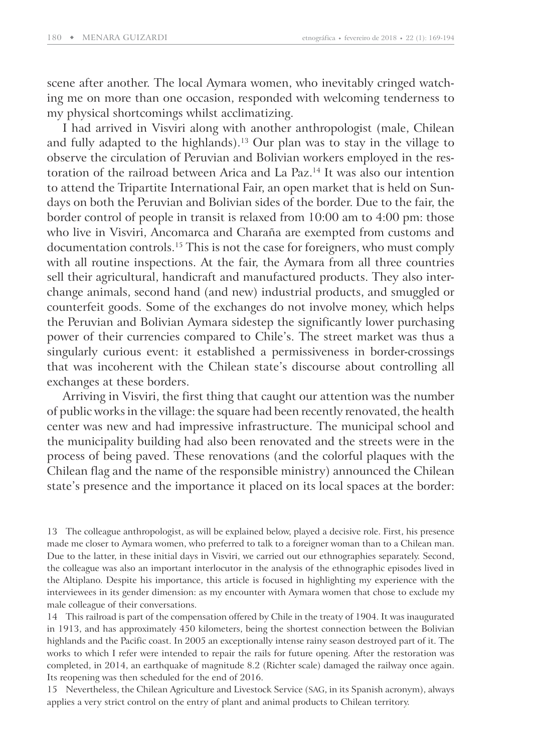scene after another. The local Aymara women, who inevitably cringed watching me on more than one occasion, responded with welcoming tenderness to my physical shortcomings whilst acclimatizing.

I had arrived in Visviri along with another anthropologist (male, Chilean and fully adapted to the highlands).<sup>13</sup> Our plan was to stay in the village to observe the circulation of Peruvian and Bolivian workers employed in the restoration of the railroad between Arica and La Paz.<sup>14</sup> It was also our intention to attend the Tripartite International Fair, an open market that is held on Sundays on both the Peruvian and Bolivian sides of the border. Due to the fair, the border control of people in transit is relaxed from 10:00 am to 4:00 pm: those who live in Visviri, Ancomarca and Charaña are exempted from customs and documentation controls.<sup>15</sup> This is not the case for foreigners, who must comply with all routine inspections. At the fair, the Aymara from all three countries sell their agricultural, handicraft and manufactured products. They also interchange animals, second hand (and new) industrial products, and smuggled or counterfeit goods. Some of the exchanges do not involve money, which helps the Peruvian and Bolivian Aymara sidestep the significantly lower purchasing power of their currencies compared to Chile's. The street market was thus a singularly curious event: it established a permissiveness in border-crossings that was incoherent with the Chilean state's discourse about controlling all exchanges at these borders.

Arriving in Visviri, the first thing that caught our attention was the number of public works in the village: the square had been recently renovated, the health center was new and had impressive infrastructure. The municipal school and the municipality building had also been renovated and the streets were in the process of being paved. These renovations (and the colorful plaques with the Chilean flag and the name of the responsible ministry) announced the Chilean state's presence and the importance it placed on its local spaces at the border:

13 The colleague anthropologist, as will be explained below, played a decisive role. First, his presence made me closer to Aymara women, who preferred to talk to a foreigner woman than to a Chilean man. Due to the latter, in these initial days in Visviri, we carried out our ethnographies separately. Second, the colleague was also an important interlocutor in the analysis of the ethnographic episodes lived in the Altiplano. Despite his importance, this article is focused in highlighting my experience with the interviewees in its gender dimension: as my encounter with Aymara women that chose to exclude my male colleague of their conversations.

14 This railroad is part of the compensation offered by Chile in the treaty of 1904. It was inaugurated in 1913, and has approximately 450 kilometers, being the shortest connection between the Bolivian highlands and the Pacific coast. In 2005 an exceptionally intense rainy season destroyed part of it. The works to which I refer were intended to repair the rails for future opening. After the restoration was completed, in 2014, an earthquake of magnitude 8.2 (Richter scale) damaged the railway once again. Its reopening was then scheduled for the end of 2016.

15 Nevertheless, the Chilean Agriculture and Livestock Service (SAG, in its Spanish acronym), always applies a very strict control on the entry of plant and animal products to Chilean territory.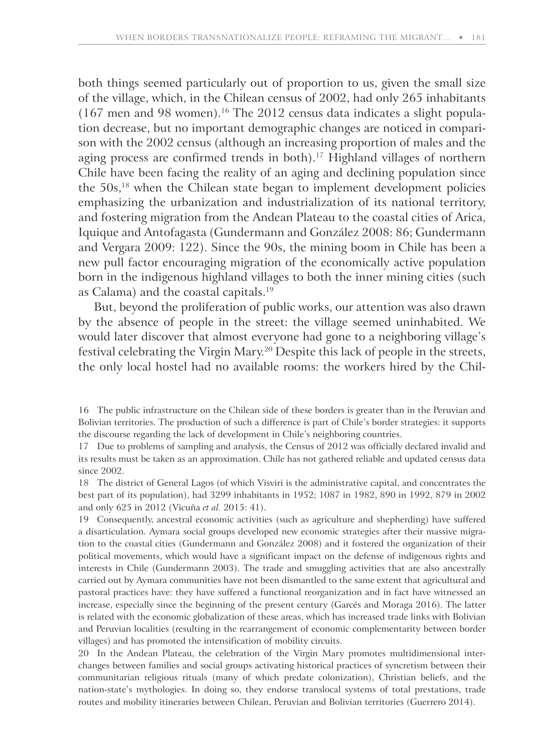both things seemed particularly out of proportion to us, given the small size of the village, which, in the Chilean census of 2002, had only 265 inhabitants  $(167 \text{ men and } 98 \text{ women})$ .<sup>16</sup> The 2012 census data indicates a slight population decrease, but no important demographic changes are noticed in comparison with the 2002 census (although an increasing proportion of males and the aging process are confirmed trends in both).<sup>17</sup> Highland villages of northern Chile have been facing the reality of an aging and declining population since the 50s,<sup>18</sup> when the Chilean state began to implement development policies emphasizing the urbanization and industrialization of its national territory, and fostering migration from the Andean Plateau to the coastal cities of Arica, Iquique and Antofagasta (Gundermann and González 2008: 86; Gundermann and Vergara 2009: 122). Since the 90s, the mining boom in Chile has been a new pull factor encouraging migration of the economically active population born in the indigenous highland villages to both the inner mining cities (such as Calama) and the coastal capitals.<sup>19</sup>

But, beyond the proliferation of public works, our attention was also drawn by the absence of people in the street: the village seemed uninhabited. We would later discover that almost everyone had gone to a neighboring village's festival celebrating the Virgin Mary.<sup>20</sup> Despite this lack of people in the streets, the only local hostel had no available rooms: the workers hired by the Chil-

19 Consequently, ancestral economic activities (such as agriculture and shepherding) have suffered a disarticulation. Aymara social groups developed new economic strategies after their massive migration to the coastal cities (Gundermann and González 2008) and it fostered the organization of their political movements, which would have a significant impact on the defense of indigenous rights and interests in Chile (Gundermann 2003). The trade and smuggling activities that are also ancestrally carried out by Aymara communities have not been dismantled to the same extent that agricultural and pastoral practices have: they have suffered a functional reorganization and in fact have witnessed an increase, especially since the beginning of the present century (Garcés and Moraga 2016). The latter is related with the economic globalization of these areas, which has increased trade links with Bolivian and Peruvian localities (resulting in the rearrangement of economic complementarity between border villages) and has promoted the intensification of mobility circuits.

20 In the Andean Plateau, the celebration of the Virgin Mary promotes multidimensional interchanges between families and social groups activating historical practices of syncretism between their communitarian religious rituals (many of which predate colonization), Christian beliefs, and the nation-state's mythologies. In doing so, they endorse translocal systems of total prestations, trade routes and mobility itineraries between Chilean, Peruvian and Bolivian territories (Guerrero 2014).

<sup>16</sup> The public infrastructure on the Chilean side of these borders is greater than in the Peruvian and Bolivian territories. The production of such a difference is part of Chile's border strategies: it supports the discourse regarding the lack of development in Chile's neighboring countries.

<sup>17</sup> Due to problems of sampling and analysis, the Census of 2012 was officially declared invalid and its results must be taken as an approximation. Chile has not gathered reliable and updated census data since 2002.

<sup>18</sup> The district of General Lagos (of which Visviri is the administrative capital, and concentrates the best part of its population), had 3299 inhabitants in 1952; 1087 in 1982, 890 in 1992, 879 in 2002 and only 625 in 2012 (Vicuña *et al.* 2015: 41).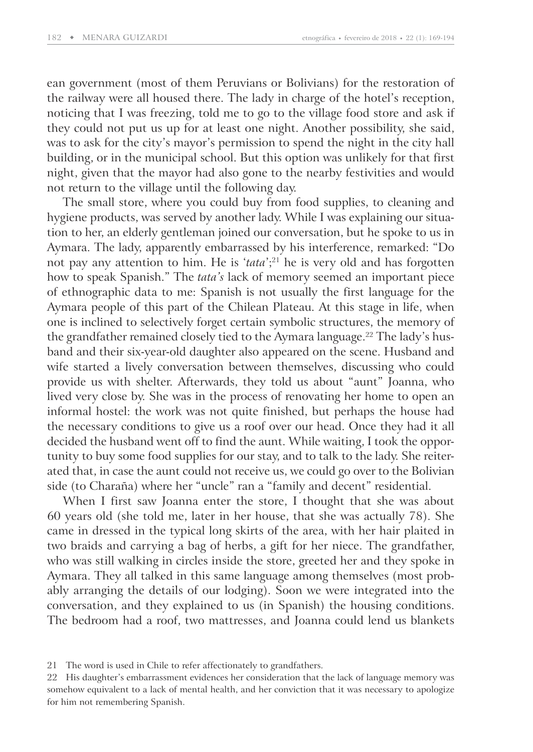ean government (most of them Peruvians or Bolivians) for the restoration of the railway were all housed there. The lady in charge of the hotel's reception, noticing that I was freezing, told me to go to the village food store and ask if they could not put us up for at least one night. Another possibility, she said, was to ask for the city's mayor's permission to spend the night in the city hall building, or in the municipal school. But this option was unlikely for that first night, given that the mayor had also gone to the nearby festivities and would not return to the village until the following day.

The small store, where you could buy from food supplies, to cleaning and hygiene products, was served by another lady. While I was explaining our situation to her, an elderly gentleman joined our conversation, but he spoke to us in Aymara. The lady, apparently embarrassed by his interference, remarked: "Do not pay any attention to him. He is '*tata*';<sup>21</sup> he is very old and has forgotten how to speak Spanish." The *tata's* lack of memory seemed an important piece of ethnographic data to me: Spanish is not usually the first language for the Aymara people of this part of the Chilean Plateau. At this stage in life, when one is inclined to selectively forget certain symbolic structures, the memory of the grandfather remained closely tied to the Aymara language.<sup>22</sup> The lady's husband and their six-year-old daughter also appeared on the scene. Husband and wife started a lively conversation between themselves, discussing who could provide us with shelter. Afterwards, they told us about "aunt" Joanna, who lived very close by. She was in the process of renovating her home to open an informal hostel: the work was not quite finished, but perhaps the house had the necessary conditions to give us a roof over our head. Once they had it all decided the husband went off to find the aunt. While waiting, I took the opportunity to buy some food supplies for our stay, and to talk to the lady. She reiterated that, in case the aunt could not receive us, we could go over to the Bolivian side (to Charaña) where her "uncle" ran a "family and decent" residential.

When I first saw Joanna enter the store, I thought that she was about 60 years old (she told me, later in her house, that she was actually 78). She came in dressed in the typical long skirts of the area, with her hair plaited in two braids and carrying a bag of herbs, a gift for her niece. The grandfather, who was still walking in circles inside the store, greeted her and they spoke in Aymara. They all talked in this same language among themselves (most probably arranging the details of our lodging). Soon we were integrated into the conversation, and they explained to us (in Spanish) the housing conditions. The bedroom had a roof, two mattresses, and Joanna could lend us blankets

<sup>21</sup> The word is used in Chile to refer affectionately to grandfathers.

<sup>22</sup> His daughter's embarrassment evidences her consideration that the lack of language memory was somehow equivalent to a lack of mental health, and her conviction that it was necessary to apologize for him not remembering Spanish.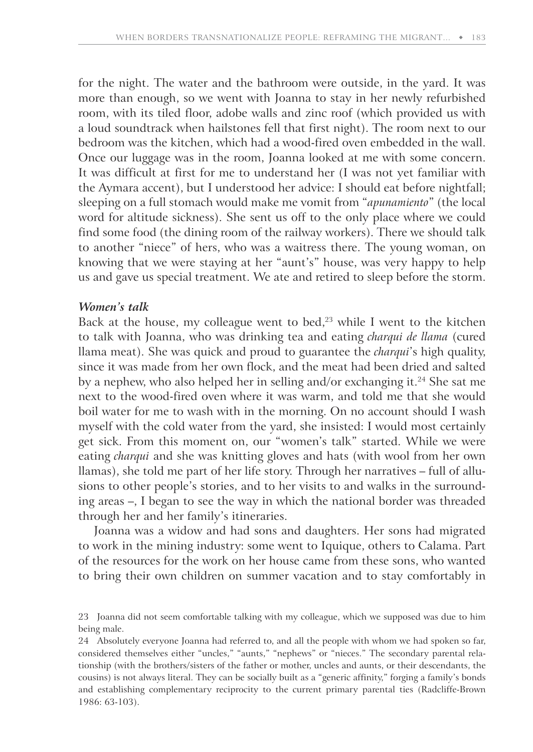for the night. The water and the bathroom were outside, in the yard. It was more than enough, so we went with Joanna to stay in her newly refurbished room, with its tiled floor, adobe walls and zinc roof (which provided us with a loud soundtrack when hailstones fell that first night). The room next to our bedroom was the kitchen, which had a wood-fired oven embedded in the wall. Once our luggage was in the room, Joanna looked at me with some concern. It was difficult at first for me to understand her (I was not yet familiar with the Aymara accent), but I understood her advice: I should eat before nightfall; sleeping on a full stomach would make me vomit from "*apunamiento*" (the local word for altitude sickness). She sent us off to the only place where we could find some food (the dining room of the railway workers). There we should talk to another "niece" of hers, who was a waitress there. The young woman, on knowing that we were staying at her "aunt's" house, was very happy to help us and gave us special treatment. We ate and retired to sleep before the storm.

## *Women's talk*

Back at the house, my colleague went to bed,<sup>23</sup> while I went to the kitchen to talk with Joanna, who was drinking tea and eating *charqui de llama* (cured llama meat). She was quick and proud to guarantee the *charqui*'s high quality, since it was made from her own flock, and the meat had been dried and salted by a nephew, who also helped her in selling and/or exchanging it.<sup>24</sup> She sat me next to the wood-fired oven where it was warm, and told me that she would boil water for me to wash with in the morning. On no account should I wash myself with the cold water from the yard, she insisted: I would most certainly get sick. From this moment on, our "women's talk" started. While we were eating *charqui* and she was knitting gloves and hats (with wool from her own llamas), she told me part of her life story. Through her narratives – full of allusions to other people's stories, and to her visits to and walks in the surrounding areas –, I began to see the way in which the national border was threaded through her and her family's itineraries.

Joanna was a widow and had sons and daughters. Her sons had migrated to work in the mining industry: some went to Iquique, others to Calama. Part of the resources for the work on her house came from these sons, who wanted to bring their own children on summer vacation and to stay comfortably in

24 Absolutely everyone Joanna had referred to, and all the people with whom we had spoken so far, considered themselves either "uncles," "aunts," "nephews" or "nieces." The secondary parental relationship (with the brothers/sisters of the father or mother, uncles and aunts, or their descendants, the cousins) is not always literal. They can be socially built as a "generic affinity," forging a family's bonds and establishing complementary reciprocity to the current primary parental ties (Radcliffe-Brown 1986: 63-103).

<sup>23</sup> Joanna did not seem comfortable talking with my colleague, which we supposed was due to him being male.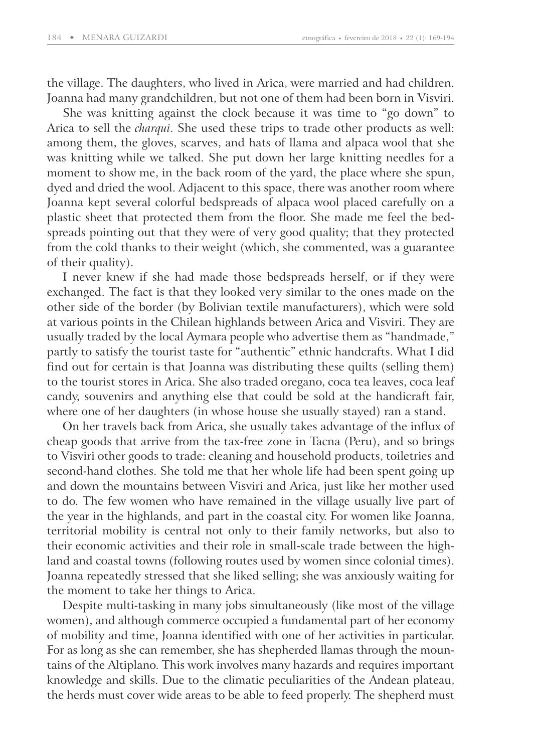the village. The daughters, who lived in Arica, were married and had children. Joanna had many grandchildren, but not one of them had been born in Visviri.

She was knitting against the clock because it was time to "go down" to Arica to sell the *charqui*. She used these trips to trade other products as well: among them, the gloves, scarves, and hats of llama and alpaca wool that she was knitting while we talked. She put down her large knitting needles for a moment to show me, in the back room of the yard, the place where she spun, dyed and dried the wool. Adjacent to this space, there was another room where Joanna kept several colorful bedspreads of alpaca wool placed carefully on a plastic sheet that protected them from the floor. She made me feel the bedspreads pointing out that they were of very good quality; that they protected from the cold thanks to their weight (which, she commented, was a guarantee of their quality).

I never knew if she had made those bedspreads herself, or if they were exchanged. The fact is that they looked very similar to the ones made on the other side of the border (by Bolivian textile manufacturers), which were sold at various points in the Chilean highlands between Arica and Visviri. They are usually traded by the local Aymara people who advertise them as "handmade," partly to satisfy the tourist taste for "authentic" ethnic handcrafts. What I did find out for certain is that Joanna was distributing these quilts (selling them) to the tourist stores in Arica. She also traded oregano, coca tea leaves, coca leaf candy, souvenirs and anything else that could be sold at the handicraft fair, where one of her daughters (in whose house she usually stayed) ran a stand.

On her travels back from Arica, she usually takes advantage of the influx of cheap goods that arrive from the tax-free zone in Tacna (Peru), and so brings to Visviri other goods to trade: cleaning and household products, toiletries and second-hand clothes. She told me that her whole life had been spent going up and down the mountains between Visviri and Arica, just like her mother used to do. The few women who have remained in the village usually live part of the year in the highlands, and part in the coastal city. For women like Joanna, territorial mobility is central not only to their family networks, but also to their economic activities and their role in small-scale trade between the highland and coastal towns (following routes used by women since colonial times). Joanna repeatedly stressed that she liked selling; she was anxiously waiting for the moment to take her things to Arica.

Despite multi-tasking in many jobs simultaneously (like most of the village women), and although commerce occupied a fundamental part of her economy of mobility and time, Joanna identified with one of her activities in particular. For as long as she can remember, she has shepherded llamas through the mountains of the Altiplano. This work involves many hazards and requires important knowledge and skills. Due to the climatic peculiarities of the Andean plateau, the herds must cover wide areas to be able to feed properly. The shepherd must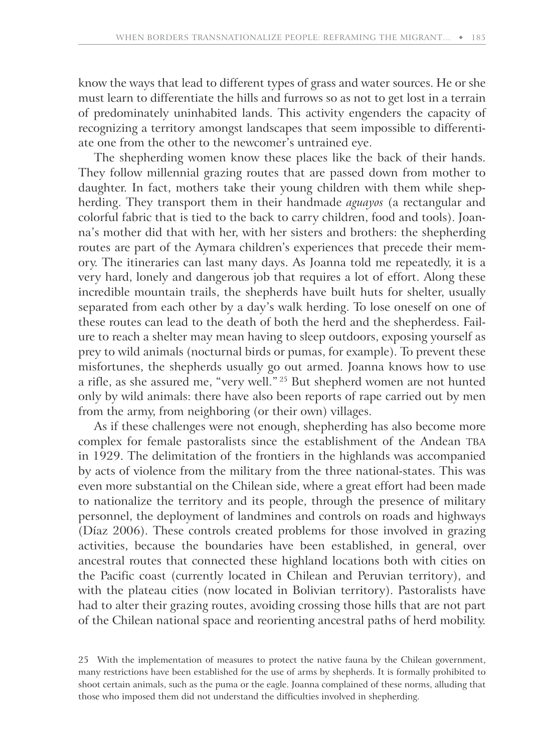know the ways that lead to different types of grass and water sources. He or she must learn to differentiate the hills and furrows so as not to get lost in a terrain of predominately uninhabited lands. This activity engenders the capacity of recognizing a territory amongst landscapes that seem impossible to differentiate one from the other to the newcomer's untrained eye.

The shepherding women know these places like the back of their hands. They follow millennial grazing routes that are passed down from mother to daughter. In fact, mothers take their young children with them while shepherding. They transport them in their handmade *aguayos* (a rectangular and colorful fabric that is tied to the back to carry children, food and tools). Joanna's mother did that with her, with her sisters and brothers: the shepherding routes are part of the Aymara children's experiences that precede their memory. The itineraries can last many days. As Joanna told me repeatedly, it is a very hard, lonely and dangerous job that requires a lot of effort. Along these incredible mountain trails, the shepherds have built huts for shelter, usually separated from each other by a day's walk herding. To lose oneself on one of these routes can lead to the death of both the herd and the shepherdess. Failure to reach a shelter may mean having to sleep outdoors, exposing yourself as prey to wild animals (nocturnal birds or pumas, for example). To prevent these misfortunes, the shepherds usually go out armed. Joanna knows how to use a rifle, as she assured me, "very well."<sup>25</sup> But shepherd women are not hunted only by wild animals: there have also been reports of rape carried out by men from the army, from neighboring (or their own) villages.

As if these challenges were not enough, shepherding has also become more complex for female pastoralists since the establishment of the Andean TBA in 1929. The delimitation of the frontiers in the highlands was accompanied by acts of violence from the military from the three national-states. This was even more substantial on the Chilean side, where a great effort had been made to nationalize the territory and its people, through the presence of military personnel, the deployment of landmines and controls on roads and highways (Díaz 2006). These controls created problems for those involved in grazing activities, because the boundaries have been established, in general, over ancestral routes that connected these highland locations both with cities on the Pacific coast (currently located in Chilean and Peruvian territory), and with the plateau cities (now located in Bolivian territory). Pastoralists have had to alter their grazing routes, avoiding crossing those hills that are not part of the Chilean national space and reorienting ancestral paths of herd mobility.

<sup>25</sup> With the implementation of measures to protect the native fauna by the Chilean government, many restrictions have been established for the use of arms by shepherds. It is formally prohibited to shoot certain animals, such as the puma or the eagle. Joanna complained of these norms, alluding that those who imposed them did not understand the difficulties involved in shepherding.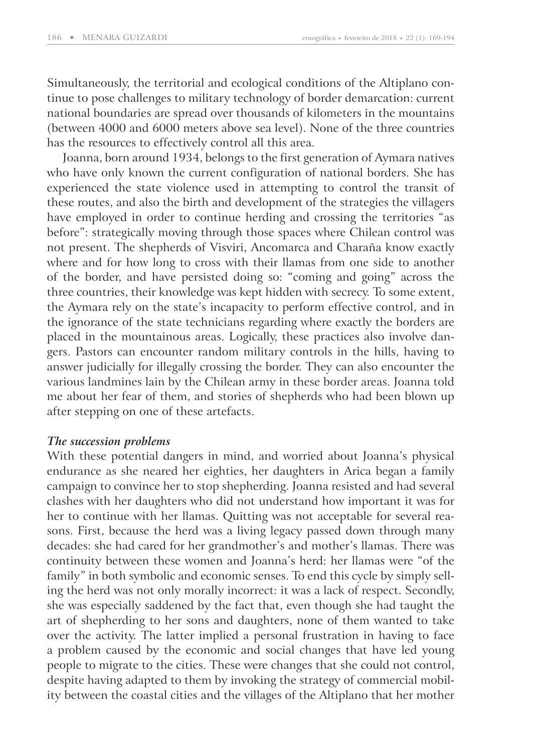Simultaneously, the territorial and ecological conditions of the Altiplano continue to pose challenges to military technology of border demarcation: current national boundaries are spread over thousands of kilometers in the mountains (between 4000 and 6000 meters above sea level). None of the three countries has the resources to effectively control all this area.

Joanna, born around 1934, belongs to the first generation of Aymara natives who have only known the current configuration of national borders. She has experienced the state violence used in attempting to control the transit of these routes, and also the birth and development of the strategies the villagers have employed in order to continue herding and crossing the territories "as before": strategically moving through those spaces where Chilean control was not present. The shepherds of Visviri, Ancomarca and Charaña know exactly where and for how long to cross with their llamas from one side to another of the border, and have persisted doing so: "coming and going" across the three countries, their knowledge was kept hidden with secrecy. To some extent, the Aymara rely on the state's incapacity to perform effective control, and in the ignorance of the state technicians regarding where exactly the borders are placed in the mountainous areas. Logically, these practices also involve dangers. Pastors can encounter random military controls in the hills, having to answer judicially for illegally crossing the border. They can also encounter the various landmines lain by the Chilean army in these border areas. Joanna told me about her fear of them, and stories of shepherds who had been blown up after stepping on one of these artefacts.

## *The succession problems*

With these potential dangers in mind, and worried about Joanna's physical endurance as she neared her eighties, her daughters in Arica began a family campaign to convince her to stop shepherding. Joanna resisted and had several clashes with her daughters who did not understand how important it was for her to continue with her llamas. Quitting was not acceptable for several reasons. First, because the herd was a living legacy passed down through many decades: she had cared for her grandmother's and mother's llamas. There was continuity between these women and Joanna's herd: her llamas were "of the family" in both symbolic and economic senses. To end this cycle by simply selling the herd was not only morally incorrect: it was a lack of respect. Secondly, she was especially saddened by the fact that, even though she had taught the art of shepherding to her sons and daughters, none of them wanted to take over the activity. The latter implied a personal frustration in having to face a problem caused by the economic and social changes that have led young people to migrate to the cities. These were changes that she could not control, despite having adapted to them by invoking the strategy of commercial mobility between the coastal cities and the villages of the Altiplano that her mother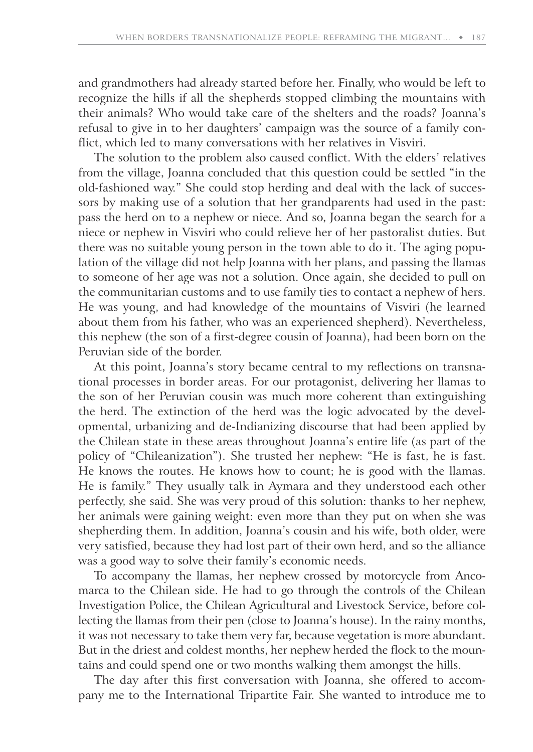and grandmothers had already started before her. Finally, who would be left to recognize the hills if all the shepherds stopped climbing the mountains with their animals? Who would take care of the shelters and the roads? Joanna's refusal to give in to her daughters' campaign was the source of a family conflict, which led to many conversations with her relatives in Visviri.

The solution to the problem also caused conflict. With the elders' relatives from the village, Joanna concluded that this question could be settled "in the old-fashioned way." She could stop herding and deal with the lack of successors by making use of a solution that her grandparents had used in the past: pass the herd on to a nephew or niece. And so, Joanna began the search for a niece or nephew in Visviri who could relieve her of her pastoralist duties. But there was no suitable young person in the town able to do it. The aging population of the village did not help Joanna with her plans, and passing the llamas to someone of her age was not a solution. Once again, she decided to pull on the communitarian customs and to use family ties to contact a nephew of hers. He was young, and had knowledge of the mountains of Visviri (he learned about them from his father, who was an experienced shepherd). Nevertheless, this nephew (the son of a first-degree cousin of Joanna), had been born on the Peruvian side of the border.

At this point, Joanna's story became central to my reflections on transnational processes in border areas. For our protagonist, delivering her llamas to the son of her Peruvian cousin was much more coherent than extinguishing the herd. The extinction of the herd was the logic advocated by the developmental, urbanizing and de-Indianizing discourse that had been applied by the Chilean state in these areas throughout Joanna's entire life (as part of the policy of "Chileanization"). She trusted her nephew: "He is fast, he is fast. He knows the routes. He knows how to count; he is good with the llamas. He is family." They usually talk in Aymara and they understood each other perfectly, she said. She was very proud of this solution: thanks to her nephew, her animals were gaining weight: even more than they put on when she was shepherding them. In addition, Joanna's cousin and his wife, both older, were very satisfied, because they had lost part of their own herd, and so the alliance was a good way to solve their family's economic needs.

To accompany the llamas, her nephew crossed by motorcycle from Ancomarca to the Chilean side. He had to go through the controls of the Chilean Investigation Police, the Chilean Agricultural and Livestock Service, before collecting the llamas from their pen (close to Joanna's house). In the rainy months, it was not necessary to take them very far, because vegetation is more abundant. But in the driest and coldest months, her nephew herded the flock to the mountains and could spend one or two months walking them amongst the hills.

The day after this first conversation with Joanna, she offered to accompany me to the International Tripartite Fair. She wanted to introduce me to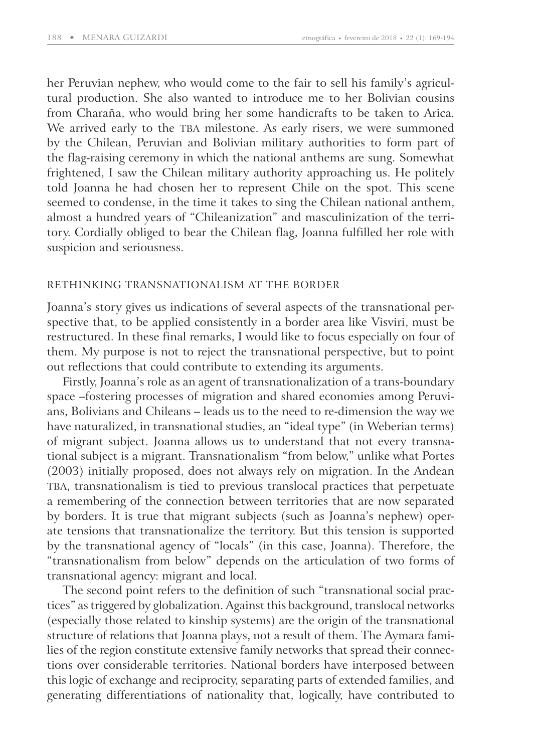her Peruvian nephew, who would come to the fair to sell his family's agricultural production. She also wanted to introduce me to her Bolivian cousins from Charaña, who would bring her some handicrafts to be taken to Arica. We arrived early to the TBA milestone. As early risers, we were summoned by the Chilean, Peruvian and Bolivian military authorities to form part of the flag-raising ceremony in which the national anthems are sung. Somewhat frightened, I saw the Chilean military authority approaching us. He politely told Joanna he had chosen her to represent Chile on the spot. This scene seemed to condense, in the time it takes to sing the Chilean national anthem, almost a hundred years of "Chileanization" and masculinization of the territory. Cordially obliged to bear the Chilean flag, Joanna fulfilled her role with suspicion and seriousness.

#### RETHINKING TRANSNATIONALISM AT THE BORDER

Joanna's story gives us indications of several aspects of the transnational perspective that, to be applied consistently in a border area like Visviri, must be restructured. In these final remarks, I would like to focus especially on four of them. My purpose is not to reject the transnational perspective, but to point out reflections that could contribute to extending its arguments.

Firstly, Joanna's role as an agent of transnationalization of a trans-boundary space –fostering processes of migration and shared economies among Peruvians, Bolivians and Chileans – leads us to the need to re-dimension the way we have naturalized, in transnational studies, an "ideal type" (in Weberian terms) of migrant subject. Joanna allows us to understand that not every transnational subject is a migrant. Transnationalism "from below," unlike what Portes (2003) initially proposed, does not always rely on migration. In the Andean TBA, transnationalism is tied to previous translocal practices that perpetuate a remembering of the connection between territories that are now separated by borders. It is true that migrant subjects (such as Joanna's nephew) operate tensions that transnationalize the territory. But this tension is supported by the transnational agency of "locals" (in this case, Joanna). Therefore, the "transnationalism from below" depends on the articulation of two forms of transnational agency: migrant and local.

The second point refers to the definition of such "transnational social practices" as triggered by globalization. Against this background, translocal networks (especially those related to kinship systems) are the origin of the transnational structure of relations that Joanna plays, not a result of them. The Aymara families of the region constitute extensive family networks that spread their connections over considerable territories. National borders have interposed between this logic of exchange and reciprocity, separating parts of extended families, and generating differentiations of nationality that, logically, have contributed to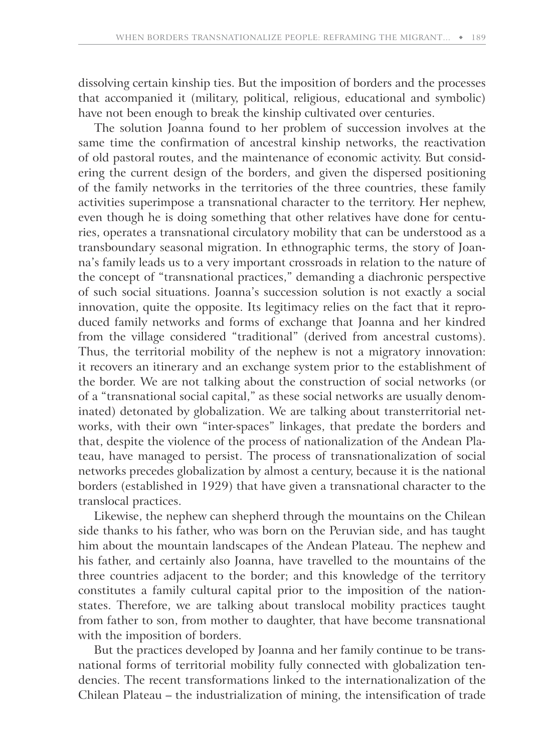dissolving certain kinship ties. But the imposition of borders and the processes that accompanied it (military, political, religious, educational and symbolic) have not been enough to break the kinship cultivated over centuries.

The solution Joanna found to her problem of succession involves at the same time the confirmation of ancestral kinship networks, the reactivation of old pastoral routes, and the maintenance of economic activity. But considering the current design of the borders, and given the dispersed positioning of the family networks in the territories of the three countries, these family activities superimpose a transnational character to the territory. Her nephew, even though he is doing something that other relatives have done for centuries, operates a transnational circulatory mobility that can be understood as a transboundary seasonal migration. In ethnographic terms, the story of Joanna's family leads us to a very important crossroads in relation to the nature of the concept of "transnational practices," demanding a diachronic perspective of such social situations. Joanna's succession solution is not exactly a social innovation, quite the opposite. Its legitimacy relies on the fact that it reproduced family networks and forms of exchange that Joanna and her kindred from the village considered "traditional" (derived from ancestral customs). Thus, the territorial mobility of the nephew is not a migratory innovation: it recovers an itinerary and an exchange system prior to the establishment of the border. We are not talking about the construction of social networks (or of a "transnational social capital," as these social networks are usually denominated) detonated by globalization. We are talking about transterritorial networks, with their own "inter-spaces" linkages, that predate the borders and that, despite the violence of the process of nationalization of the Andean Plateau, have managed to persist. The process of transnationalization of social networks precedes globalization by almost a century, because it is the national borders (established in 1929) that have given a transnational character to the translocal practices.

Likewise, the nephew can shepherd through the mountains on the Chilean side thanks to his father, who was born on the Peruvian side, and has taught him about the mountain landscapes of the Andean Plateau. The nephew and his father, and certainly also Joanna, have travelled to the mountains of the three countries adjacent to the border; and this knowledge of the territory constitutes a family cultural capital prior to the imposition of the nationstates. Therefore, we are talking about translocal mobility practices taught from father to son, from mother to daughter, that have become transnational with the imposition of borders.

But the practices developed by Joanna and her family continue to be transnational forms of territorial mobility fully connected with globalization tendencies. The recent transformations linked to the internationalization of the Chilean Plateau – the industrialization of mining, the intensification of trade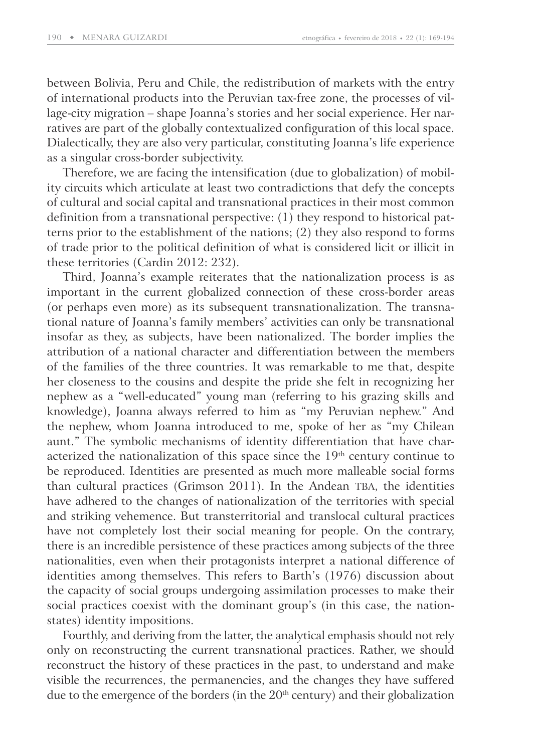between Bolivia, Peru and Chile, the redistribution of markets with the entry of international products into the Peruvian tax-free zone, the processes of village-city migration – shape Joanna's stories and her social experience. Her narratives are part of the globally contextualized configuration of this local space. Dialectically, they are also very particular, constituting Joanna's life experience as a singular cross-border subjectivity.

Therefore, we are facing the intensification (due to globalization) of mobility circuits which articulate at least two contradictions that defy the concepts of cultural and social capital and transnational practices in their most common definition from a transnational perspective:  $(1)$  they respond to historical patterns prior to the establishment of the nations; (2) they also respond to forms of trade prior to the political definition of what is considered licit or illicit in these territories (Cardin 2012: 232).

Third, Joanna's example reiterates that the nationalization process is as important in the current globalized connection of these cross-border areas (or perhaps even more) as its subsequent transnationalization. The transnational nature of Joanna's family members' activities can only be transnational insofar as they, as subjects, have been nationalized. The border implies the attribution of a national character and differentiation between the members of the families of the three countries. It was remarkable to me that, despite her closeness to the cousins and despite the pride she felt in recognizing her nephew as a "well-educated" young man (referring to his grazing skills and knowledge), Joanna always referred to him as "my Peruvian nephew." And the nephew, whom Joanna introduced to me, spoke of her as "my Chilean aunt." The symbolic mechanisms of identity differentiation that have characterized the nationalization of this space since the  $19<sup>th</sup>$  century continue to be reproduced. Identities are presented as much more malleable social forms than cultural practices (Grimson 2011). In the Andean TBA, the identities have adhered to the changes of nationalization of the territories with special and striking vehemence. But transterritorial and translocal cultural practices have not completely lost their social meaning for people. On the contrary, there is an incredible persistence of these practices among subjects of the three nationalities, even when their protagonists interpret a national difference of identities among themselves. This refers to Barth's (1976) discussion about the capacity of social groups undergoing assimilation processes to make their social practices coexist with the dominant group's (in this case, the nationstates) identity impositions.

Fourthly, and deriving from the latter, the analytical emphasis should not rely only on reconstructing the current transnational practices. Rather, we should reconstruct the history of these practices in the past, to understand and make visible the recurrences, the permanencies, and the changes they have suffered due to the emergence of the borders (in the  $20<sup>th</sup>$  century) and their globalization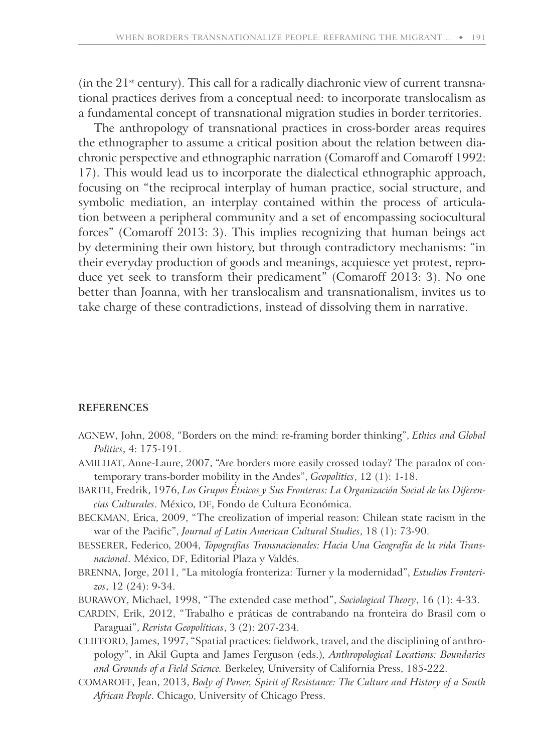(in the  $21^{st}$  century). This call for a radically diachronic view of current transnational practices derives from a conceptual need: to incorporate translocalism as a fundamental concept of transnational migration studies in border territories.

The anthropology of transnational practices in cross-border areas requires the ethnographer to assume a critical position about the relation between diachronic perspective and ethnographic narration (Comaroff and Comaroff 1992: 17). This would lead us to incorporate the dialectical ethnographic approach, focusing on "the reciprocal interplay of human practice, social structure, and symbolic mediation, an interplay contained within the process of articulation between a peripheral community and a set of encompassing sociocultural forces" (Comaroff 2013: 3). This implies recognizing that human beings act by determining their own history, but through contradictory mechanisms: "in their everyday production of goods and meanings, acquiesce yet protest, reproduce yet seek to transform their predicament" (Comaroff 2013: 3). No one better than Joanna, with her translocalism and transnationalism, invites us to take charge of these contradictions, instead of dissolving them in narrative.

#### **REFERENCES**

- AGNEW, John, 2008, "Borders on the mind: re-framing border thinking", *Ethics and Global Politics*, 4: 175-191.
- AMILHAT, Anne-Laure, 2007, "Are borders more easily crossed today? The paradox of contemporary trans-border mobility in the Andes", *Geopolitics*, 12 (1): 1-18.
- BARTH, Fredrik, 1976, *Los Grupos Étnicos y Sus Fronteras: La Organización Social de las Diferencias Culturales*. México, DF, Fondo de Cultura Económica.
- BECKMAN, Erica, 2009, "The creolization of imperial reason: Chilean state racism in the war of the Pacific", *Journal of Latin American Cultural Studies*, 18 (1): 73-90.
- BESSERER, Federico, 2004, *Topografías Transnacionales: Hacia Una Geografía de la vida Transnacional*. México, DF, Editorial Plaza y Valdés.
- BRENNA, Jorge, 2011, "La mitología fronteriza: Turner y la modernidad", *Estudios Fronterizos*, 12 (24): 9-34.
- BURAWOY, Michael, 1998, "The extended case method", *Sociological Theory*, 16 (1): 4-33.
- CARDIN, Erik, 2012, "Trabalho e práticas de contrabando na fronteira do Brasil com o Paraguai", *Revista Geopolíticas*, 3 (2): 207-234.
- CLIFFORD, James, 1997, "Spatial practices: fieldwork, travel, and the disciplining of anthropology", in Akil Gupta and James Ferguson (eds.)*, Anthropological Locations: Boundaries and Grounds of a Field Science.* Berkeley, University of California Press, 185-222.
- COMAROFF, Jean, 2013, *Body of Power, Spirit of Resistance: The Culture and History of a South African People*. Chicago, University of Chicago Press.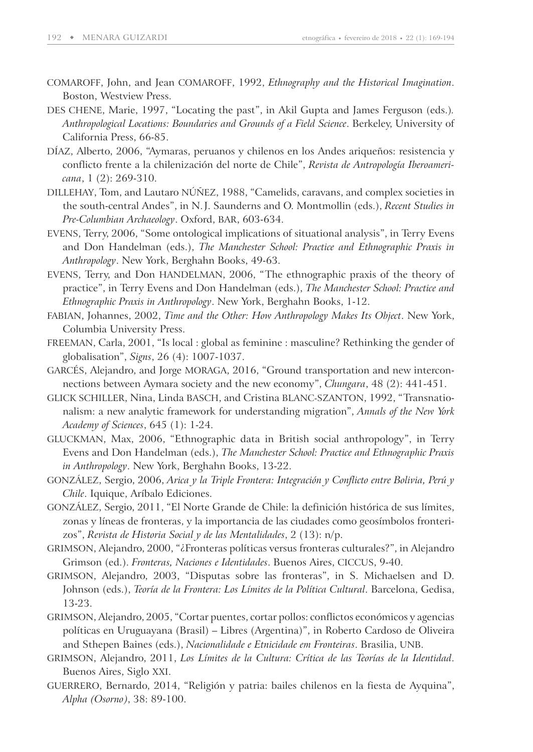- COMAROFF, John, and Jean COMAROFF, 1992, *Ethnography and the Historical Imagination*. Boston, Westview Press.
- DES CHENE, Marie, 1997, "Locating the past", in Akil Gupta and James Ferguson (eds.)*. Anthropological Locations: Boundaries and Grounds of a Field Science*. Berkeley, University of California Press, 66-85.
- DÍAZ, Alberto, 2006, "Aymaras, peruanos y chilenos en los Andes ariqueños: resistencia y conflicto frente a la chilenización del norte de Chile", *Revista de Antropología Iberoamericana*, 1 (2): 269-310.
- DILLEHAY, Tom, and Lautaro NÚÑEZ, 1988, "Camelids, caravans, and complex societies in the south-central Andes", in N. J. Saunderns and O. Montmollin (eds.), *Recent Studies in Pre-Columbian Archaeology*. Oxford, BAR, 603-634.
- EVENS, Terry, 2006, "Some ontological implications of situational analysis", in Terry Evens and Don Handelman (eds.), *The Manchester School: Practice and Ethnographic Praxis in Anthropology*. New York, Berghahn Books, 49-63.
- EVENS, Terry, and Don HANDELMAN, 2006, "The ethnographic praxis of the theory of practice", in Terry Evens and Don Handelman (eds.), *The Manchester School: Practice and Ethnographic Praxis in Anthropology*. New York, Berghahn Books, 1-12.
- FABIAN, Johannes, 2002, *Time and the Other: How Anthropology Makes Its Object*. New York, Columbia University Press.
- FREEMAN, Carla, 2001, "Is local : global as feminine : masculine? Rethinking the gender of globalisation", *Signs*, 26 (4): 1007-1037.
- GARCÉS, Alejandro, and Jorge MORAGA, 2016, "Ground transportation and new interconnections between Aymara society and the new economy", *Chungara*, 48 (2): 441-451.
- GLICK SCHILLER, Nina, Linda BASCH, and Cristina BLANC-SZANTON, 1992, "Transnationalism: a new analytic framework for understanding migration", *Annals of the New York Academy of Sciences*, 645 (1): 1-24.
- GLUCKMAN, Max, 2006, "Ethnographic data in British social anthropology", in Terry Evens and Don Handelman (eds.), *The Manchester School: Practice and Ethnographic Praxis in Anthropology*. New York, Berghahn Books, 13-22.
- GONZÁLEZ, Sergio, 2006, *Arica y la Triple Frontera: Integración y Conflicto entre Bolivia, Perú y Chile*. Iquique, Aríbalo Ediciones.
- GONZÁLEZ, Sergio, 2011, "El Norte Grande de Chile: la definición histórica de sus límites, zonas y líneas de fronteras, y la importancia de las ciudades como geosímbolos fronterizos", *Revista de Historia Social y de las Mentalidades*, 2 (13): n/p.
- GRIMSON, Alejandro, 2000, "¿Fronteras políticas versus fronteras culturales?", in Alejandro Grimson (ed.). *Fronteras, Naciones e Identidades*. Buenos Aires, CICCUS, 9-40.
- GRIMSON, Alejandro, 2003, "Disputas sobre las fronteras", in S. Michaelsen and D. Johnson (eds.), *Teoría de la Frontera: Los Límites de la Política Cultural*. Barcelona, Gedisa, 13-23.
- GRIMSON, Alejandro, 2005, "Cortar puentes, cortar pollos: conflictos económicos y agencias políticas en Uruguayana (Brasil) – Libres (Argentina)", in Roberto Cardoso de Oliveira and Sthepen Baines (eds.), *Nacionalidade e Etnicidade em Fronteiras*. Brasilia, UNB.
- GRIMSON, Alejandro, 2011, *Los Límites de la Cultura: Crítica de las Teorías de la Identidad*. Buenos Aires, Siglo XXI.
- GUERRERO, Bernardo, 2014, "Religión y patria: bailes chilenos en la fiesta de Ayquina", *Alpha (Osorno)*, 38: 89-100.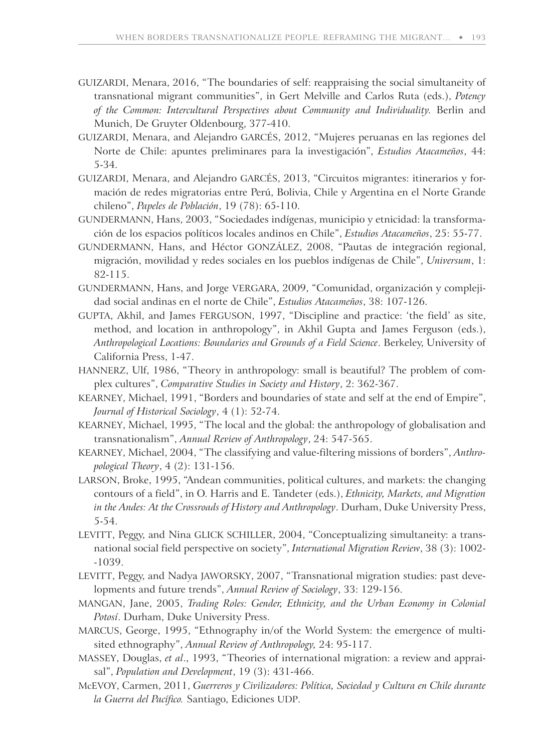- GUIZARDI, Menara, 2016, "The boundaries of self: reappraising the social simultaneity of transnational migrant communities", in Gert Melville and Carlos Ruta (eds.), *Potency of the Common: Intercultural Perspectives about Community and Individuality.* Berlin and Munich, De Gruyter Oldenbourg, 377-410.
- GUIZARDI, Menara, and Alejandro GARCÉS, 2012, "Mujeres peruanas en las regiones del Norte de Chile: apuntes preliminares para la investigación", *Estudios Atacameños*, 44: 5-34.
- GUIZARDI, Menara, and Alejandro GARCÉS, 2013, "Circuitos migrantes: itinerarios y formación de redes migratorias entre Perú, Bolivia, Chile y Argentina en el Norte Grande chileno", *Papeles de Población*, 19 (78): 65-110.
- GUNDERMANN, Hans, 2003, "Sociedades indígenas, municipio y etnicidad: la transformación de los espacios políticos locales andinos en Chile", *Estudios Atacameños*, 25: 55-77.
- GUNDERMANN, Hans, and Héctor GONZÁLEZ, 2008, "Pautas de integración regional, migración, movilidad y redes sociales en los pueblos indígenas de Chile", *Universum*, 1: 82-115.
- GUNDERMANN, Hans, and Jorge VERGARA, 2009, "Comunidad, organización y complejidad social andinas en el norte de Chile", *Estudios Atacameños*, 38: 107-126.
- GUPTA, Akhil, and James FERGUSON, 1997, "Discipline and practice: 'the field' as site, method, and location in anthropology", in Akhil Gupta and James Ferguson (eds.), *Anthropological Locations: Boundaries and Grounds of a Field Science*. Berkeley, University of California Press, 1-47.
- HANNERZ, Ulf, 1986, "Theory in anthropology: small is beautiful? The problem of complex cultures", *Comparative Studies in Society and History*, 2: 362-367.
- KEARNEY, Michael, 1991, "Borders and boundaries of state and self at the end of Empire", *Journal of Historical Sociology*, 4 (1): 52-74.
- KEARNEY, Michael, 1995, "The local and the global: the anthropology of globalisation and transnationalism", *Annual Review of Anthropology*, 24: 547-565.
- KEARNEY, Michael, 2004, "The classifying and value-filtering missions of borders", *Anthropological Theory*, 4 (2): 131-156.
- LARSON, Broke, 1995, "Andean communities, political cultures, and markets: the changing contours of a field", in O. Harris and E. Tandeter (eds.), *Ethnicity, Markets, and Migration in the Andes: At the Crossroads of History and Anthropology*. Durham, Duke University Press, 5-54.
- LEVITT, Peggy, and Nina GLICK SCHILLER, 2004, "Conceptualizing simultaneity: a transnational social field perspective on society", *International Migration Review*, 38 (3): 1002- -1039.
- LEVITT, Peggy, and Nadya JAWORSKY, 2007, "Transnational migration studies: past developments and future trends", *Annual Review of Sociology*, 33: 129-156.
- MANGAN, Jane, 2005, *Trading Roles: Gender, Ethnicity, and the Urban Economy in Colonial Potosí*. Durham, Duke University Press.
- MARCUS, George, 1995, "Ethnography in/of the World System: the emergence of multisited ethnography", *Annual Review of Anthropology,* 24: 95-117.
- MASSEY, Douglas, *et al*., 1993, "Theories of international migration: a review and appraisal", *Population and Development*, 19 (3): 431-466.
- McEVOY, Carmen, 2011, *Guerreros y Civilizadores: Política, Sociedad y Cultura en Chile durante la Guerra del Pacífico.* Santiago, Ediciones UDP.